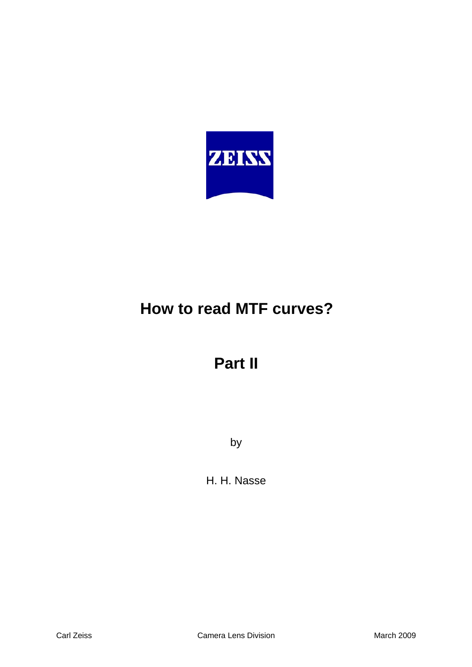

# **How to read MTF curves?**

# **Part II**

by

H. H. Nasse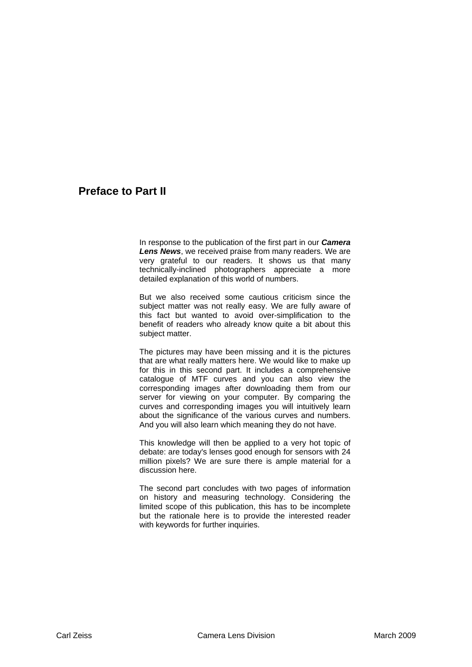# **Preface to Part II**

In response to the publication of the first part in our *Camera Lens News*, we received praise from many readers. We are very grateful to our readers. It shows us that many technically-inclined photographers appreciate a more detailed explanation of this world of numbers.

But we also received some cautious criticism since the subject matter was not really easy. We are fully aware of this fact but wanted to avoid over-simplification to the benefit of readers who already know quite a bit about this subject matter.

The pictures may have been missing and it is the pictures that are what really matters here. We would like to make up for this in this second part. It includes a comprehensive catalogue of MTF curves and you can also view the corresponding images after downloading them from our server for viewing on your computer. By comparing the curves and corresponding images you will intuitively learn about the significance of the various curves and numbers. And you will also learn which meaning they do not have.

This knowledge will then be applied to a very hot topic of debate: are today's lenses good enough for sensors with 24 million pixels? We are sure there is ample material for a discussion here.

The second part concludes with two pages of information on history and measuring technology. Considering the limited scope of this publication, this has to be incomplete but the rationale here is to provide the interested reader with keywords for further inquiries.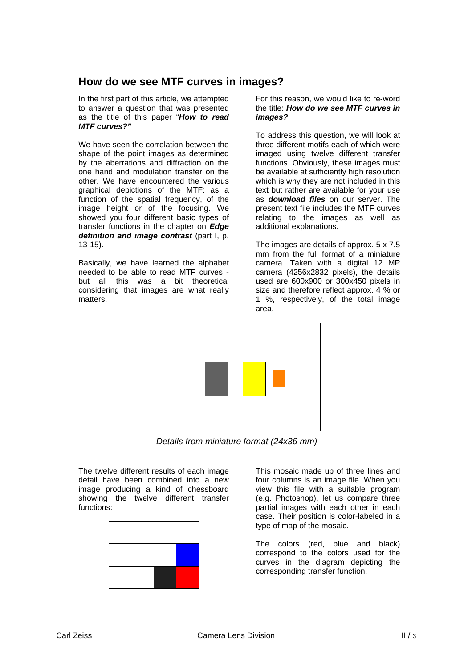# **How do we see MTF curves in images?**

In the first part of this article, we attempted to answer a question that was presented as the title of this paper "*How to read MTF curves?"*

We have seen the correlation between the shape of the point images as determined by the aberrations and diffraction on the one hand and modulation transfer on the other. We have encountered the various graphical depictions of the MTF: as a function of the spatial frequency, of the image height or of the focusing. We showed you four different basic types of transfer functions in the chapter on *Edge definition and image contrast* (part I, p. 13-15).

Basically, we have learned the alphabet needed to be able to read MTF curves but all this was a bit theoretical considering that images are what really matters.

For this reason, we would like to re-word the title: *How do we see MTF curves in images?* 

To address this question, we will look at three different motifs each of which were imaged using twelve different transfer functions. Obviously, these images must be available at sufficiently high resolution which is why they are not included in this text but rather are available for your use as *download files* on our server. The present text file includes the MTF curves relating to the images as well as additional explanations.

The images are details of approx. 5 x 7.5 mm from the full format of a miniature camera. Taken with a digital 12 MP camera (4256x2832 pixels), the details used are 600x900 or 300x450 pixels in size and therefore reflect approx. 4 % or 1 %, respectively, of the total image area.



*Details from miniature format (24x36 mm)* 

The twelve different results of each image detail have been combined into a new image producing a kind of chessboard showing the twelve different transfer functions:



This mosaic made up of three lines and four columns is an image file. When you view this file with a suitable program (e.g. Photoshop), let us compare three partial images with each other in each case. Their position is color-labeled in a type of map of the mosaic.

The colors (red, blue and black) correspond to the colors used for the curves in the diagram depicting the corresponding transfer function.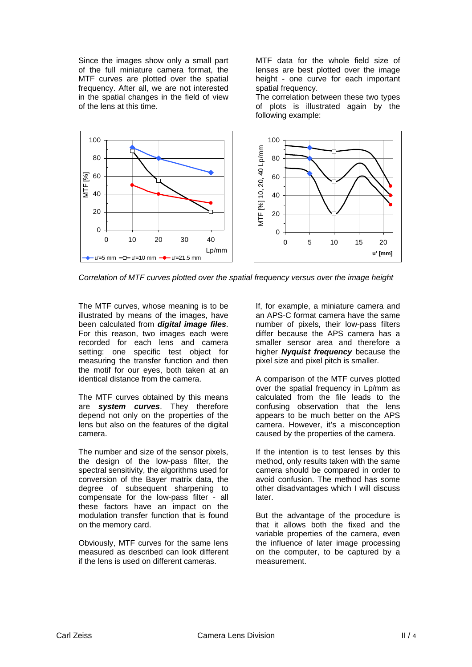Since the images show only a small part of the full miniature camera format, the MTF curves are plotted over the spatial frequency. After all, we are not interested in the spatial changes in the field of view of the lens at this time.

MTF data for the whole field size of lenses are best plotted over the image height - one curve for each important spatial frequency.

The correlation between these two types of plots is illustrated again by the following example:



*Correlation of MTF curves plotted over the spatial frequency versus over the image height* 

The MTF curves, whose meaning is to be illustrated by means of the images, have been calculated from *digital image files*. For this reason, two images each were recorded for each lens and camera setting: one specific test object for measuring the transfer function and then the motif for our eyes, both taken at an identical distance from the camera.

The MTF curves obtained by this means are *system curves*. They therefore depend not only on the properties of the lens but also on the features of the digital camera.

The number and size of the sensor pixels, the design of the low-pass filter, the spectral sensitivity, the algorithms used for conversion of the Bayer matrix data, the degree of subsequent sharpening to compensate for the low-pass filter - all these factors have an impact on the modulation transfer function that is found on the memory card.

Obviously, MTF curves for the same lens measured as described can look different if the lens is used on different cameras.

If, for example, a miniature camera and an APS-C format camera have the same number of pixels, their low-pass filters differ because the APS camera has a smaller sensor area and therefore a higher *Nyquist frequency* because the pixel size and pixel pitch is smaller.

A comparison of the MTF curves plotted over the spatial frequency in Lp/mm as calculated from the file leads to the confusing observation that the lens appears to be much better on the APS camera. However, it's a misconception caused by the properties of the camera.

If the intention is to test lenses by this method, only results taken with the same camera should be compared in order to avoid confusion. The method has some other disadvantages which I will discuss later.

But the advantage of the procedure is that it allows both the fixed and the variable properties of the camera, even the influence of later image processing on the computer, to be captured by a measurement.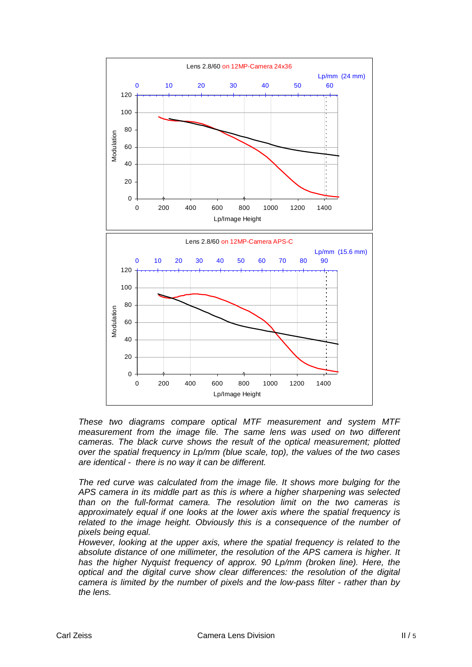

*These two diagrams compare optical MTF measurement and system MTF measurement from the image file. The same lens was used on two different cameras. The black curve shows the result of the optical measurement; plotted over the spatial frequency in Lp/mm (blue scale, top), the values of the two cases are identical - there is no way it can be different.* 

*The red curve was calculated from the image file. It shows more bulging for the APS camera in its middle part as this is where a higher sharpening was selected than on the full-format camera. The resolution limit on the two cameras is approximately equal if one looks at the lower axis where the spatial frequency is related to the image height. Obviously this is a consequence of the number of pixels being equal.* 

*However, looking at the upper axis, where the spatial frequency is related to the absolute distance of one millimeter, the resolution of the APS camera is higher. It*  has the higher Nyquist frequency of approx. 90 Lp/mm (broken line). Here, the *optical and the digital curve show clear differences: the resolution of the digital camera is limited by the number of pixels and the low-pass filter - rather than by the lens.*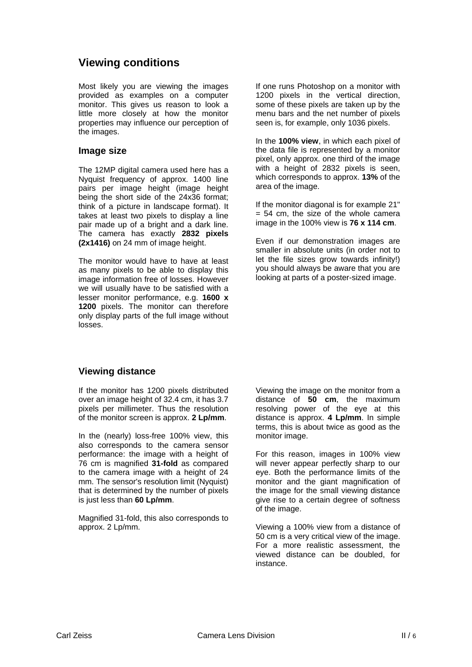# **Viewing conditions**

Most likely you are viewing the images provided as examples on a computer monitor. This gives us reason to look a little more closely at how the monitor properties may influence our perception of the images.

#### **Image size**

The 12MP digital camera used here has a Nyquist frequency of approx. 1400 line pairs per image height (image height being the short side of the 24x36 format; think of a picture in landscape format). It takes at least two pixels to display a line pair made up of a bright and a dark line. The camera has exactly **2832 pixels (2x1416)** on 24 mm of image height.

The monitor would have to have at least as many pixels to be able to display this image information free of losses. However we will usually have to be satisfied with a lesser monitor performance, e.g. **1600 x 1200** pixels. The monitor can therefore only display parts of the full image without losses.

If one runs Photoshop on a monitor with 1200 pixels in the vertical direction, some of these pixels are taken up by the menu bars and the net number of pixels seen is, for example, only 1036 pixels.

In the **100% view**, in which each pixel of the data file is represented by a monitor pixel, only approx. one third of the image with a height of 2832 pixels is seen, which corresponds to approx. **13%** of the area of the image.

If the monitor diagonal is for example 21"  $= 54$  cm, the size of the whole camera image in the 100% view is **76 x 114 cm**.

Even if our demonstration images are smaller in absolute units (in order not to let the file sizes grow towards infinity!) you should always be aware that you are looking at parts of a poster-sized image.

# **Viewing distance**

If the monitor has 1200 pixels distributed over an image height of 32.4 cm, it has 3.7 pixels per millimeter. Thus the resolution of the monitor screen is approx. **2 Lp/mm**.

In the (nearly) loss-free 100% view, this also corresponds to the camera sensor performance: the image with a height of 76 cm is magnified **31-fold** as compared to the camera image with a height of 24 mm. The sensor's resolution limit (Nyquist) that is determined by the number of pixels is just less than **60 Lp/mm**.

Magnified 31-fold, this also corresponds to approx. 2 Lp/mm.

Viewing the image on the monitor from a distance of **50 cm**, the maximum resolving power of the eye at this distance is approx. **4 Lp/mm**. In simple terms, this is about twice as good as the monitor image.

For this reason, images in 100% view will never appear perfectly sharp to our eye. Both the performance limits of the monitor and the giant magnification of the image for the small viewing distance give rise to a certain degree of softness of the image.

Viewing a 100% view from a distance of 50 cm is a very critical view of the image. For a more realistic assessment, the viewed distance can be doubled, for instance.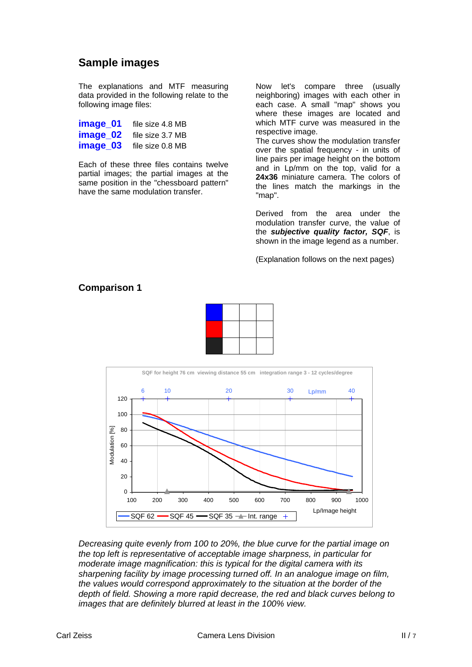# **Sample images**

The explanations and MTF measuring data provided in the following relate to the following image files:

| image_01 | file size 4.8 MB |
|----------|------------------|
| image 02 | file size 3.7 MB |
| image_03 | file size 0.8 MB |

Each of these three files contains twelve partial images; the partial images at the same position in the "chessboard pattern" have the same modulation transfer.

Now let's compare three (usually neighboring) images with each other in each case. A small "map" shows you where these images are located and which MTF curve was measured in the respective image.

The curves show the modulation transfer over the spatial frequency - in units of line pairs per image height on the bottom and in Lp/mm on the top, valid for a **24x36** miniature camera. The colors of the lines match the markings in the "map".

Derived from the area under the modulation transfer curve, the value of the *subjective quality factor, SQF*, is shown in the image legend as a number.

(Explanation follows on the next pages)

#### **Comparison 1**





*Decreasing quite evenly from 100 to 20%, the blue curve for the partial image on the top left is representative of acceptable image sharpness, in particular for moderate image magnification: this is typical for the digital camera with its sharpening facility by image processing turned off. In an analogue image on film, the values would correspond approximately to the situation at the border of the depth of field. Showing a more rapid decrease, the red and black curves belong to images that are definitely blurred at least in the 100% view.*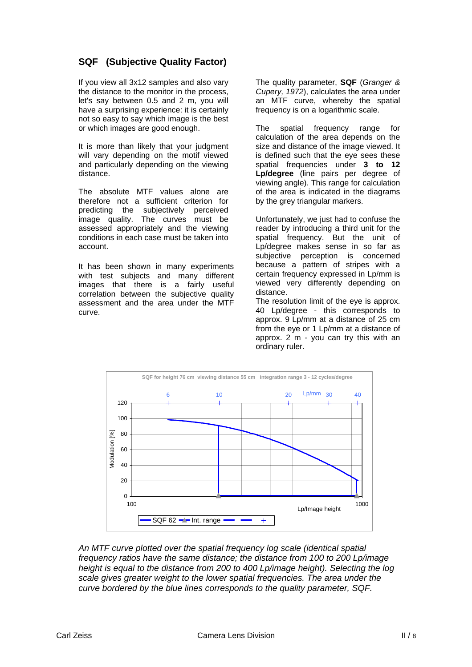# **SQF (Subjective Quality Factor)**

If you view all 3x12 samples and also vary the distance to the monitor in the process, let's say between 0.5 and 2 m, you will have a surprising experience: it is certainly not so easy to say which image is the best or which images are good enough.

It is more than likely that your judgment will vary depending on the motif viewed and particularly depending on the viewing distance.

The absolute MTF values alone are therefore not a sufficient criterion for predicting the subjectively perceived image quality. The curves must be assessed appropriately and the viewing conditions in each case must be taken into account.

It has been shown in many experiments with test subjects and many different images that there is a fairly useful correlation between the subjective quality assessment and the area under the MTF curve.

The quality parameter, **SQF** (*Granger & Cupery, 1972*), calculates the area under an MTF curve, whereby the spatial frequency is on a logarithmic scale.

The spatial frequency range for calculation of the area depends on the size and distance of the image viewed. It is defined such that the eye sees these spatial frequencies under **3 to 12 Lp/degree** (line pairs per degree of viewing angle). This range for calculation of the area is indicated in the diagrams by the grey triangular markers.

Unfortunately, we just had to confuse the reader by introducing a third unit for the spatial frequency. But the unit of Lp/degree makes sense in so far as subjective perception is concerned because a pattern of stripes with a certain frequency expressed in Lp/mm is viewed very differently depending on distance.

The resolution limit of the eye is approx. 40 Lp/degree - this corresponds to approx. 9 Lp/mm at a distance of 25 cm from the eye or 1 Lp/mm at a distance of approx. 2 m - you can try this with an ordinary ruler.



*An MTF curve plotted over the spatial frequency log scale (identical spatial frequency ratios have the same distance; the distance from 100 to 200 Lp/image height is equal to the distance from 200 to 400 Lp/image height). Selecting the log scale gives greater weight to the lower spatial frequencies. The area under the curve bordered by the blue lines corresponds to the quality parameter, SQF.*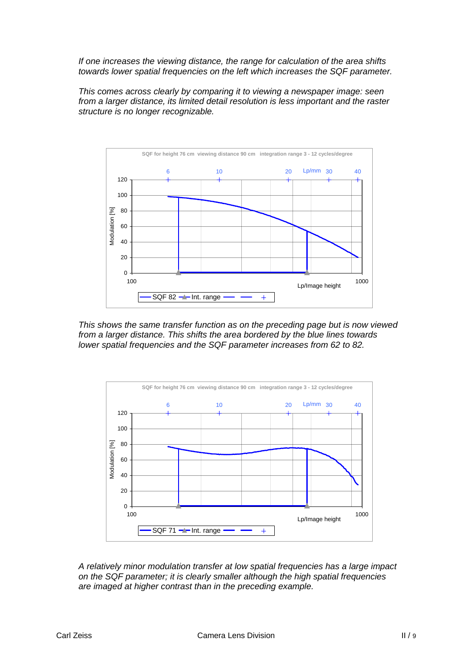*If one increases the viewing distance, the range for calculation of the area shifts towards lower spatial frequencies on the left which increases the SQF parameter.* 

*This comes across clearly by comparing it to viewing a newspaper image: seen from a larger distance, its limited detail resolution is less important and the raster structure is no longer recognizable.* 



*This shows the same transfer function as on the preceding page but is now viewed from a larger distance. This shifts the area bordered by the blue lines towards lower spatial frequencies and the SQF parameter increases from 62 to 82.* 



*A relatively minor modulation transfer at low spatial frequencies has a large impact on the SQF parameter; it is clearly smaller although the high spatial frequencies are imaged at higher contrast than in the preceding example.*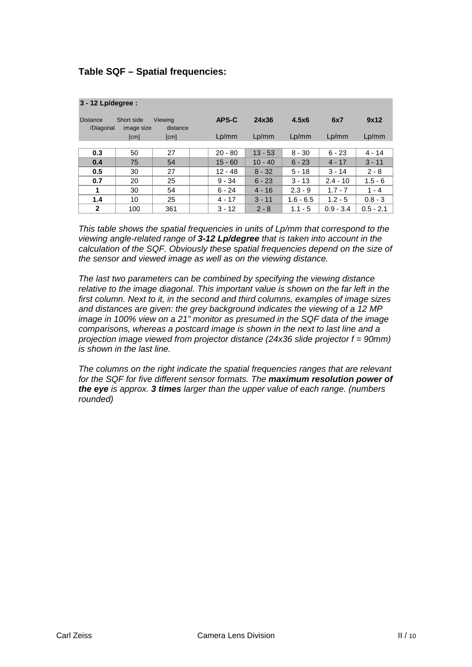## **Table SQF – Spatial frequencies:**

| 3 - 12 Lp/degree :           |                          |                     |           |           |             |             |             |
|------------------------------|--------------------------|---------------------|-----------|-----------|-------------|-------------|-------------|
| <b>Distance</b><br>/Diagonal | Short side<br>image size | Viewing<br>distance | APS-C     | 24x36     | 4.5x6       | 6x7         | 9x12        |
|                              | [cm]                     | [cm]                | Lp/mm     | Lp/mm     | Lp/mm       | Lp/mm       | Lp/mm       |
|                              |                          |                     |           |           |             |             |             |
| 0.3                          | 50                       | 27                  | $20 - 80$ | $13 - 53$ | $8 - 30$    | $6 - 23$    | $4 - 14$    |
| 0.4                          | 75                       | 54                  | $15 - 60$ | $10 - 40$ | $6 - 23$    | $4 - 17$    | $3 - 11$    |
| 0.5                          | 30                       | 27                  | $12 - 48$ | $8 - 32$  | $5 - 18$    | $3 - 14$    | $2 - 8$     |
| 0.7                          | 20                       | 25                  | $9 - 34$  | $6 - 23$  | $3 - 13$    | $2.4 - 10$  | $1.5 - 6$   |
| 1                            | 30                       | 54                  | $6 - 24$  | $4 - 16$  | $2.3 - 9$   | $1.7 - 7$   | $1 - 4$     |
| 1.4                          | 10                       | 25                  | $4 - 17$  | $3 - 11$  | $1.6 - 6.5$ | $1.2 - 5$   | $0.8 - 3$   |
| $\mathbf{2}$                 | 100                      | 361                 | $3 - 12$  | $2 - 8$   | $1.1 - 5$   | $0.9 - 3.4$ | $0.5 - 2.1$ |

*This table shows the spatial frequencies in units of Lp/mm that correspond to the viewing angle-related range of 3-12 Lp/degree that is taken into account in the calculation of the SQF. Obviously these spatial frequencies depend on the size of the sensor and viewed image as well as on the viewing distance.* 

*The last two parameters can be combined by specifying the viewing distance relative to the image diagonal. This important value is shown on the far left in the first column. Next to it, in the second and third columns, examples of image sizes and distances are given: the grey background indicates the viewing of a 12 MP image in 100% view on a 21" monitor as presumed in the SQF data of the image comparisons, whereas a postcard image is shown in the next to last line and a projection image viewed from projector distance (24x36 slide projector f = 90mm) is shown in the last line.* 

*The columns on the right indicate the spatial frequencies ranges that are relevant for the SQF for five different sensor formats. The maximum resolution power of the eye is approx. 3 times larger than the upper value of each range. (numbers rounded)*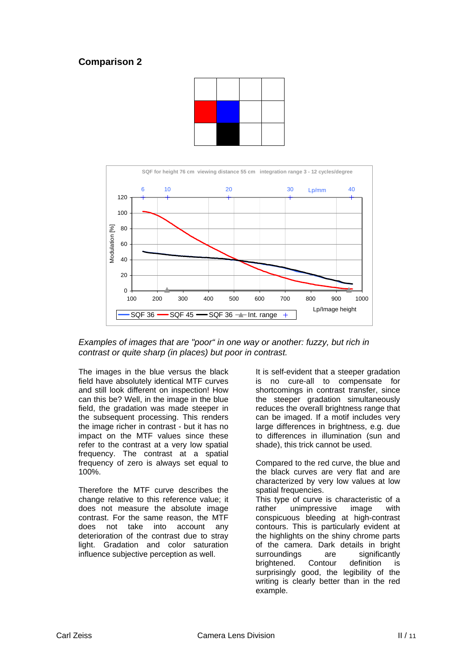



*Examples of images that are "poor" in one way or another: fuzzy, but rich in contrast or quite sharp (in places) but poor in contrast.* 

The images in the blue versus the black field have absolutely identical MTF curves and still look different on inspection! How can this be? Well, in the image in the blue field, the gradation was made steeper in the subsequent processing. This renders the image richer in contrast - but it has no impact on the MTF values since these refer to the contrast at a very low spatial frequency. The contrast at a spatial frequency of zero is always set equal to 100%.

Therefore the MTF curve describes the change relative to this reference value; it does not measure the absolute image contrast. For the same reason, the MTF does not take into account any deterioration of the contrast due to stray light. Gradation and color saturation influence subjective perception as well.

It is self-evident that a steeper gradation is no cure-all to compensate for shortcomings in contrast transfer, since the steeper gradation simultaneously reduces the overall brightness range that can be imaged. If a motif includes very large differences in brightness, e.g. due to differences in illumination (sun and shade), this trick cannot be used.

Compared to the red curve, the blue and the black curves are very flat and are characterized by very low values at low spatial frequencies.

This type of curve is characteristic of a rather unimpressive image with conspicuous bleeding at high-contrast contours. This is particularly evident at the highlights on the shiny chrome parts of the camera. Dark details in bright surroundings are significantly brightened. Contour definition is surprisingly good, the legibility of the writing is clearly better than in the red example.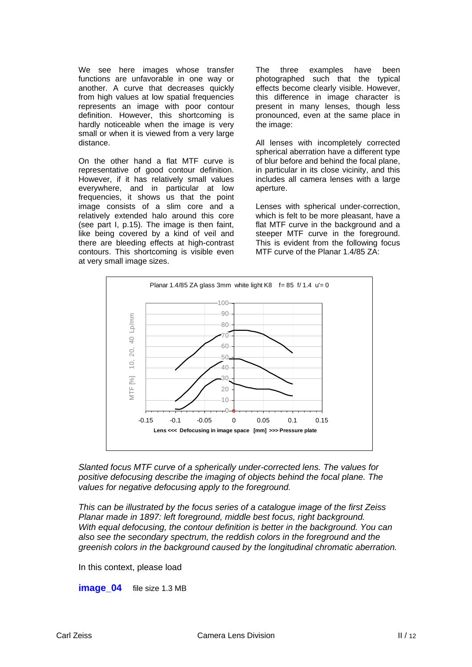We see here images whose transfer functions are unfavorable in one way or another. A curve that decreases quickly from high values at low spatial frequencies represents an image with poor contour definition. However, this shortcoming is hardly noticeable when the image is very small or when it is viewed from a very large distance.

On the other hand a flat MTF curve is representative of good contour definition. However, if it has relatively small values everywhere, and in particular at low frequencies, it shows us that the point image consists of a slim core and a relatively extended halo around this core (see part I, p.15). The image is then faint, like being covered by a kind of veil and there are bleeding effects at high-contrast contours. This shortcoming is visible even at very small image sizes.

The three examples have been photographed such that the typical effects become clearly visible. However, this difference in image character is present in many lenses, though less pronounced, even at the same place in the image:

All lenses with incompletely corrected spherical aberration have a different type of blur before and behind the focal plane, in particular in its close vicinity, and this includes all camera lenses with a large aperture.

Lenses with spherical under-correction, which is felt to be more pleasant, have a flat MTF curve in the background and a steeper MTF curve in the foreground. This is evident from the following focus MTF curve of the Planar 1.4/85 ZA:



*Slanted focus MTF curve of a spherically under-corrected lens. The values for positive defocusing describe the imaging of objects behind the focal plane. The values for negative defocusing apply to the foreground.* 

*This can be illustrated by the focus series of a catalogue image of the first Zeiss Planar made in 1897: left foreground, middle best focus, right background. With equal defocusing, the contour definition is better in the background. You can also see the secondary spectrum, the reddish colors in the foreground and the greenish colors in the background caused by the longitudinal chromatic aberration.* 

In this context, please load

**image 04** file size 1.3 MB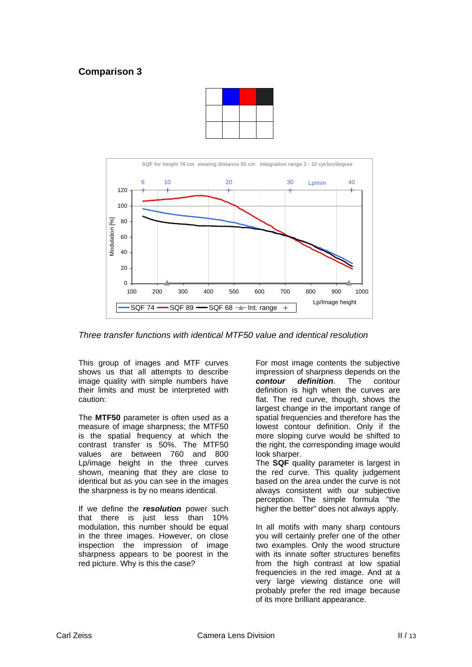



*Three transfer functions with identical MTF50 value and identical resolution* 

This group of images and MTF curves shows us that all attempts to describe image quality with simple numbers have their limits and must be interpreted with caution:

The **MTF50** parameter is often used as a measure of image sharpness; the MTF50 is the spatial frequency at which the contrast transfer is 50%. The MTF50 values are between 760 and 800 Lp/image height in the three curves shown, meaning that they are close to identical but as you can see in the images the sharpness is by no means identical.

If we define the *resolution* power such that there is just less than 10% modulation, this number should be equal in the three images. However, on close inspection the impression of image sharpness appears to be poorest in the red picture. Why is this the case?

For most image contents the subjective impression of sharpness depends on the *contour definition*. The contour definition is high when the curves are flat. The red curve, though, shows the largest change in the important range of spatial frequencies and therefore has the lowest contour definition. Only if the more sloping curve would be shifted to the right, the corresponding image would look sharper.

The **SQF** quality parameter is largest in the red curve. This quality judgement based on the area under the curve is not always consistent with our subjective perception. The simple formula "the higher the better" does not always apply.

In all motifs with many sharp contours you will certainly prefer one of the other two examples. Only the wood structure with its innate softer structures benefits from the high contrast at low spatial frequencies in the red image. And at a very large viewing distance one will probably prefer the red image because of its more brilliant appearance.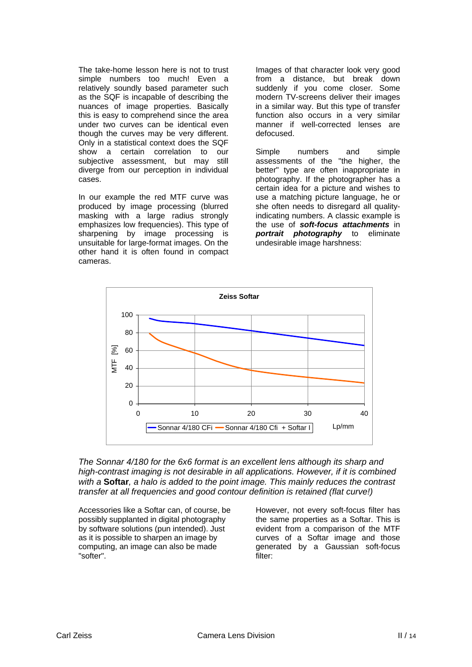The take-home lesson here is not to trust simple numbers too much! Even a relatively soundly based parameter such as the SQF is incapable of describing the nuances of image properties. Basically this is easy to comprehend since the area under two curves can be identical even though the curves may be very different. Only in a statistical context does the SQF show a certain correlation to our subjective assessment, but may still diverge from our perception in individual cases.

In our example the red MTF curve was produced by image processing (blurred masking with a large radius strongly emphasizes low frequencies). This type of sharpening by image processing is unsuitable for large-format images. On the other hand it is often found in compact cameras.

Images of that character look very good from a distance, but break down suddenly if you come closer. Some modern TV-screens deliver their images in a similar way. But this type of transfer function also occurs in a very similar manner if well-corrected lenses are defocused.

Simple numbers and simple assessments of the "the higher, the better" type are often inappropriate in photography. If the photographer has a certain idea for a picture and wishes to use a matching picture language, he or she often needs to disregard all qualityindicating numbers. A classic example is the use of *soft-focus attachments* in *portrait photography* to eliminate undesirable image harshness:



*The Sonnar 4/180 for the 6x6 format is an excellent lens although its sharp and high-contrast imaging is not desirable in all applications. However, if it is combined with a* **Softar***, a halo is added to the point image. This mainly reduces the contrast transfer at all frequencies and good contour definition is retained (flat curve!)* 

Accessories like a Softar can, of course, be possibly supplanted in digital photography by software solutions (pun intended). Just as it is possible to sharpen an image by computing, an image can also be made "softer".

However, not every soft-focus filter has the same properties as a Softar. This is evident from a comparison of the MTF curves of a Softar image and those generated by a Gaussian soft-focus filter: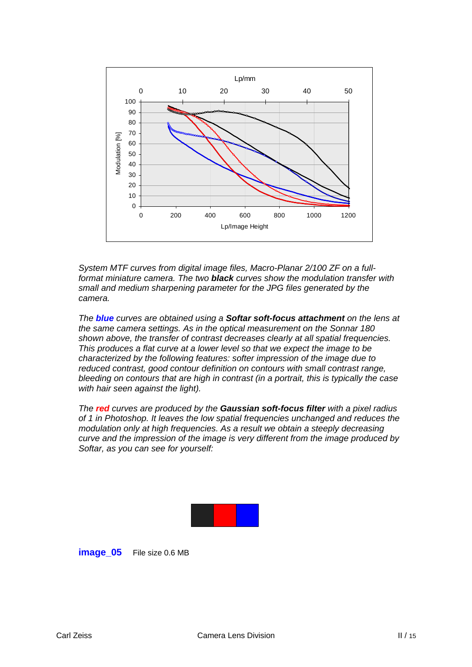

*System MTF curves from digital image files, Macro-Planar 2/100 ZF on a fullformat miniature camera. The two black curves show the modulation transfer with small and medium sharpening parameter for the JPG files generated by the camera.* 

*The blue curves are obtained using a Softar soft-focus attachment on the lens at the same camera settings. As in the optical measurement on the Sonnar 180 shown above, the transfer of contrast decreases clearly at all spatial frequencies. This produces a flat curve at a lower level so that we expect the image to be characterized by the following features: softer impression of the image due to reduced contrast, good contour definition on contours with small contrast range, bleeding on contours that are high in contrast (in a portrait, this is typically the case with hair seen against the light).* 

*The red curves are produced by the Gaussian soft-focus filter with a pixel radius of 1 in Photoshop. It leaves the low spatial frequencies unchanged and reduces the modulation only at high frequencies. As a result we obtain a steeply decreasing curve and the impression of the image is very different from the image produced by Softar, as you can see for yourself:* 



#### **image 05** File size 0.6 MB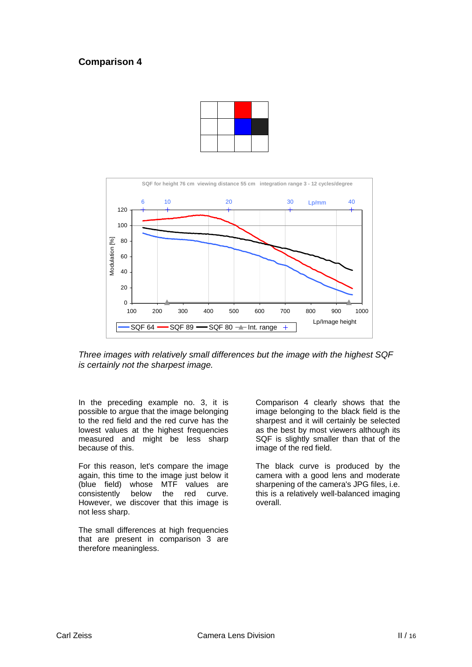



*Three images with relatively small differences but the image with the highest SQF is certainly not the sharpest image.* 

In the preceding example no. 3, it is possible to argue that the image belonging to the red field and the red curve has the lowest values at the highest frequencies measured and might be less sharp because of this.

For this reason, let's compare the image again, this time to the image just below it (blue field) whose MTF values are consistently below the red curve. However, we discover that this image is not less sharp.

The small differences at high frequencies that are present in comparison 3 are therefore meaningless.

Comparison 4 clearly shows that the image belonging to the black field is the sharpest and it will certainly be selected as the best by most viewers although its SQF is slightly smaller than that of the image of the red field.

The black curve is produced by the camera with a good lens and moderate sharpening of the camera's JPG files, i.e. this is a relatively well-balanced imaging overall.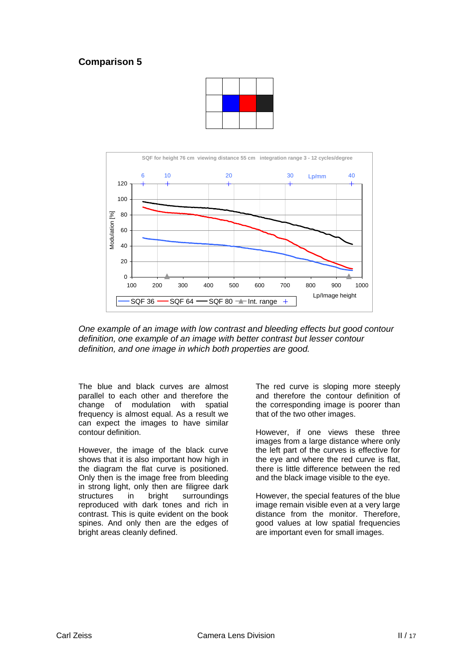



*One example of an image with low contrast and bleeding effects but good contour definition, one example of an image with better contrast but lesser contour definition, and one image in which both properties are good.* 

The blue and black curves are almost parallel to each other and therefore the change of modulation with spatial frequency is almost equal. As a result we can expect the images to have similar contour definition.

However, the image of the black curve shows that it is also important how high in the diagram the flat curve is positioned. Only then is the image free from bleeding in strong light, only then are filigree dark structures in bright surroundings reproduced with dark tones and rich in contrast. This is quite evident on the book spines. And only then are the edges of bright areas cleanly defined.

The red curve is sloping more steeply and therefore the contour definition of the corresponding image is poorer than that of the two other images.

However, if one views these three images from a large distance where only the left part of the curves is effective for the eye and where the red curve is flat, there is little difference between the red and the black image visible to the eye.

However, the special features of the blue image remain visible even at a very large distance from the monitor. Therefore, good values at low spatial frequencies are important even for small images.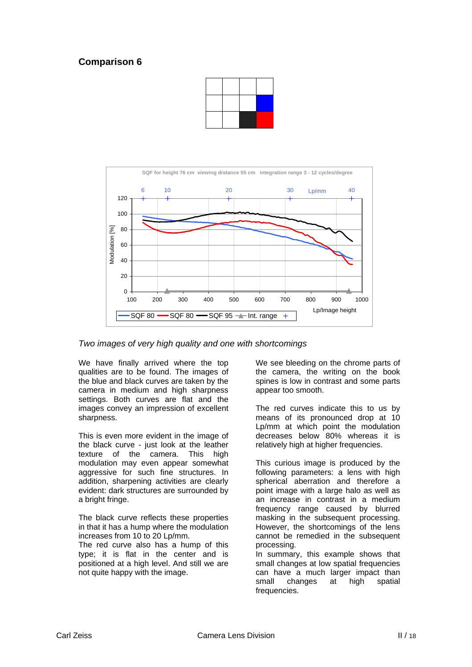



*Two images of very high quality and one with shortcomings* 

We have finally arrived where the top qualities are to be found. The images of the blue and black curves are taken by the camera in medium and high sharpness settings. Both curves are flat and the images convey an impression of excellent sharpness.

This is even more evident in the image of the black curve - just look at the leather texture of the camera. This high modulation may even appear somewhat aggressive for such fine structures. In addition, sharpening activities are clearly evident: dark structures are surrounded by a bright fringe.

The black curve reflects these properties in that it has a hump where the modulation increases from 10 to 20 Lp/mm.

The red curve also has a hump of this type; it is flat in the center and is positioned at a high level. And still we are not quite happy with the image.

We see bleeding on the chrome parts of the camera, the writing on the book spines is low in contrast and some parts appear too smooth.

The red curves indicate this to us by means of its pronounced drop at 10 Lp/mm at which point the modulation decreases below 80% whereas it is relatively high at higher frequencies.

This curious image is produced by the following parameters: a lens with high spherical aberration and therefore a point image with a large halo as well as an increase in contrast in a medium frequency range caused by blurred masking in the subsequent processing. However, the shortcomings of the lens cannot be remedied in the subsequent processing.

In summary, this example shows that small changes at low spatial frequencies can have a much larger impact than small changes at high spatial frequencies.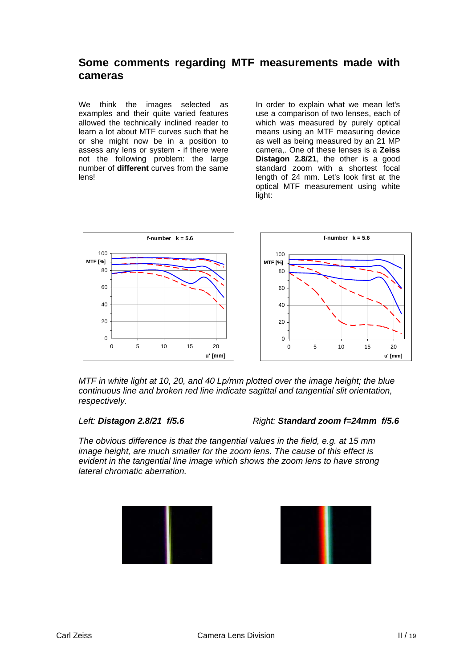# **Some comments regarding MTF measurements made with cameras**

We think the images selected as examples and their quite varied features allowed the technically inclined reader to learn a lot about MTF curves such that he or she might now be in a position to assess any lens or system - if there were not the following problem: the large number of **different** curves from the same lens!

In order to explain what we mean let's use a comparison of two lenses, each of which was measured by purely optical means using an MTF measuring device as well as being measured by an 21 MP camera,. One of these lenses is a **Zeiss Distagon 2.8/21**, the other is a good standard zoom with a shortest focal length of 24 mm. Let's look first at the optical MTF measurement using white light:



*MTF in white light at 10, 20, and 40 Lp/mm plotted over the image height; the blue continuous line and broken red line indicate sagittal and tangential slit orientation, respectively.* 

*Left: Distagon 2.8/21 f/5.6 Right: Standard zoom f=24mm f/5.6*

*The obvious difference is that the tangential values in the field, e.g. at 15 mm image height, are much smaller for the zoom lens. The cause of this effect is evident in the tangential line image which shows the zoom lens to have strong lateral chromatic aberration.* 

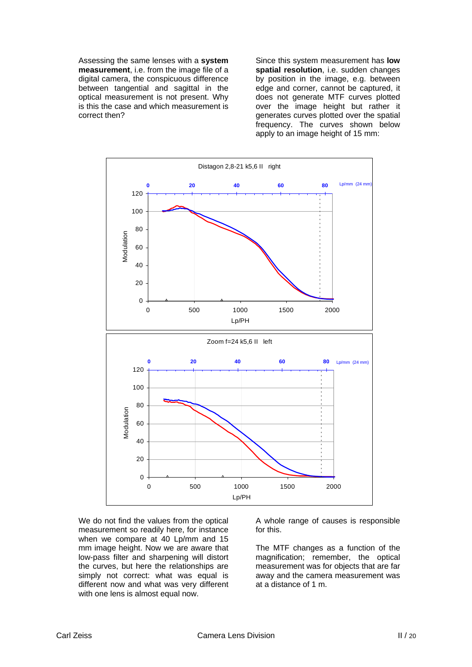Assessing the same lenses with a **system measurement**, i.e. from the image file of a digital camera, the conspicuous difference between tangential and sagittal in the optical measurement is not present. Why is this the case and which measurement is correct then?

Since this system measurement has **low spatial resolution**, i.e. sudden changes by position in the image, e.g. between edge and corner, cannot be captured, it does not generate MTF curves plotted over the image height but rather it generates curves plotted over the spatial frequency. The curves shown below apply to an image height of 15 mm:



We do not find the values from the optical measurement so readily here, for instance when we compare at 40 Lp/mm and 15 mm image height. Now we are aware that low-pass filter and sharpening will distort the curves, but here the relationships are simply not correct: what was equal is different now and what was very different with one lens is almost equal now.

A whole range of causes is responsible for this.

The MTF changes as a function of the magnification; remember, the optical measurement was for objects that are far away and the camera measurement was at a distance of 1 m.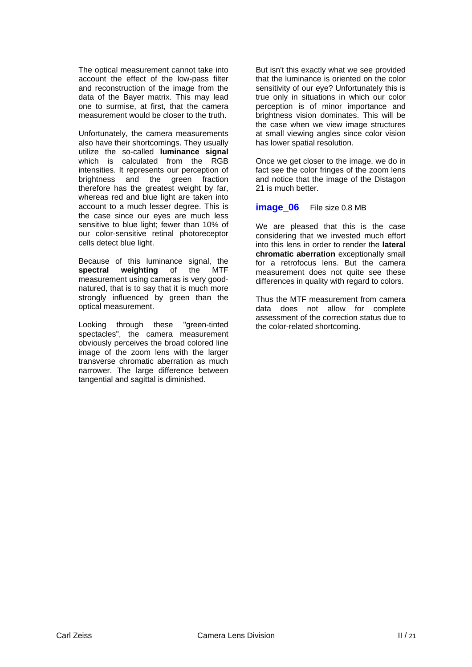The optical measurement cannot take into account the effect of the low-pass filter and reconstruction of the image from the data of the Bayer matrix. This may lead one to surmise, at first, that the camera measurement would be closer to the truth.

Unfortunately, the camera measurements also have their shortcomings. They usually utilize the so-called **luminance signal**  which is calculated from the RGB intensities. It represents our perception of brightness and the green fraction therefore has the greatest weight by far, whereas red and blue light are taken into account to a much lesser degree. This is the case since our eyes are much less sensitive to blue light; fewer than 10% of our color-sensitive retinal photoreceptor cells detect blue light.

Because of this luminance signal, the **spectral weighting** of the MTF measurement using cameras is very goodnatured, that is to say that it is much more strongly influenced by green than the optical measurement.

Looking through these "green-tinted spectacles", the camera measurement obviously perceives the broad colored line image of the zoom lens with the larger transverse chromatic aberration as much narrower. The large difference between tangential and sagittal is diminished.

But isn't this exactly what we see provided that the luminance is oriented on the color sensitivity of our eye? Unfortunately this is true only in situations in which our color perception is of minor importance and brightness vision dominates. This will be the case when we view image structures at small viewing angles since color vision has lower spatial resolution.

Once we get closer to the image, we do in fact see the color fringes of the zoom lens and notice that the image of the Distagon 21 is much better.

#### **image 06** File size 0.8 MB

We are pleased that this is the case considering that we invested much effort into this lens in order to render the **lateral chromatic aberration** exceptionally small for a retrofocus lens. But the camera measurement does not quite see these differences in quality with regard to colors.

Thus the MTF measurement from camera data does not allow for complete assessment of the correction status due to the color-related shortcoming.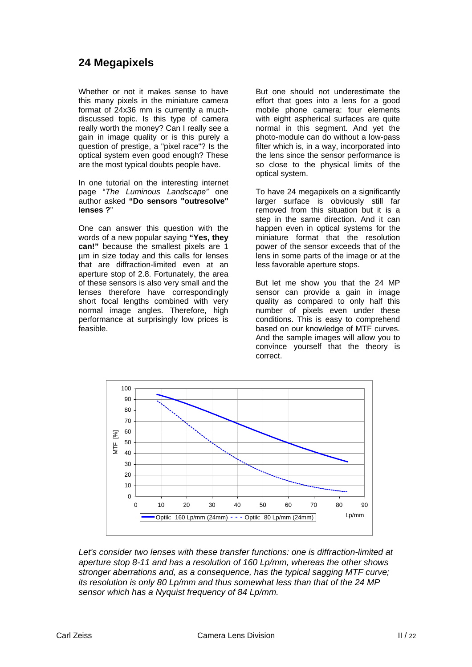# **24 Megapixels**

Whether or not it makes sense to have this many pixels in the miniature camera format of 24x36 mm is currently a muchdiscussed topic. Is this type of camera really worth the money? Can I really see a gain in image quality or is this purely a question of prestige, a "pixel race"? Is the optical system even good enough? These are the most typical doubts people have.

In one tutorial on the interesting internet page "*The Luminous Landscape"* one author asked **"Do sensors "outresolve" lenses ?**"

One can answer this question with the words of a new popular saying **"Yes, they can!"** because the smallest pixels are 1 µm in size today and this calls for lenses that are diffraction-limited even at an aperture stop of 2.8. Fortunately, the area of these sensors is also very small and the lenses therefore have correspondingly short focal lengths combined with very normal image angles. Therefore, high performance at surprisingly low prices is feasible.

But one should not underestimate the effort that goes into a lens for a good mobile phone camera: four elements with eight aspherical surfaces are quite normal in this segment. And yet the photo-module can do without a low-pass filter which is, in a way, incorporated into the lens since the sensor performance is so close to the physical limits of the optical system.

To have 24 megapixels on a significantly larger surface is obviously still far removed from this situation but it is a step in the same direction. And it can happen even in optical systems for the miniature format that the resolution power of the sensor exceeds that of the lens in some parts of the image or at the less favorable aperture stops.

But let me show you that the 24 MP sensor can provide a gain in image quality as compared to only half this number of pixels even under these conditions. This is easy to comprehend based on our knowledge of MTF curves. And the sample images will allow you to convince yourself that the theory is correct.



*Let's consider two lenses with these transfer functions: one is diffraction-limited at aperture stop 8-11 and has a resolution of 160 Lp/mm, whereas the other shows stronger aberrations and, as a consequence, has the typical sagging MTF curve; its resolution is only 80 Lp/mm and thus somewhat less than that of the 24 MP sensor which has a Nyquist frequency of 84 Lp/mm.*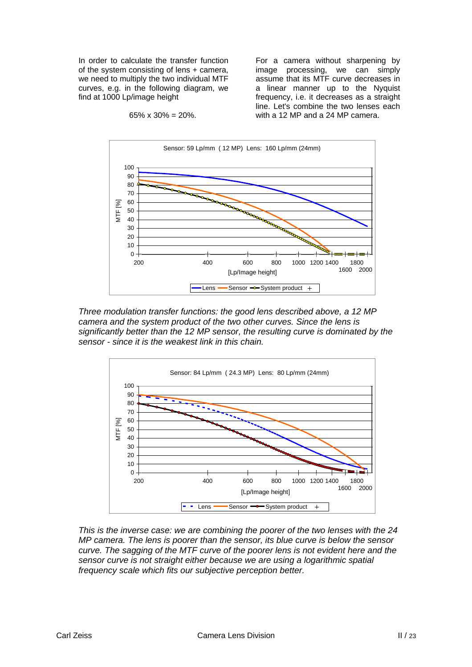In order to calculate the transfer function of the system consisting of lens + camera, we need to multiply the two individual MTF curves, e.g. in the following diagram, we find at 1000 Lp/image height

65%  $\times$  30% = 20%.

For a camera without sharpening by image processing, we can simply assume that its MTF curve decreases in a linear manner up to the Nyquist frequency, i.e. it decreases as a straight line. Let's combine the two lenses each with a 12 MP and a 24 MP camera.



*Three modulation transfer functions: the good lens described above, a 12 MP camera and the system product of the two other curves. Since the lens is significantly better than the 12 MP sensor, the resulting curve is dominated by the sensor - since it is the weakest link in this chain.* 



*This is the inverse case: we are combining the poorer of the two lenses with the 24 MP camera. The lens is poorer than the sensor, its blue curve is below the sensor curve. The sagging of the MTF curve of the poorer lens is not evident here and the sensor curve is not straight either because we are using a logarithmic spatial frequency scale which fits our subjective perception better.*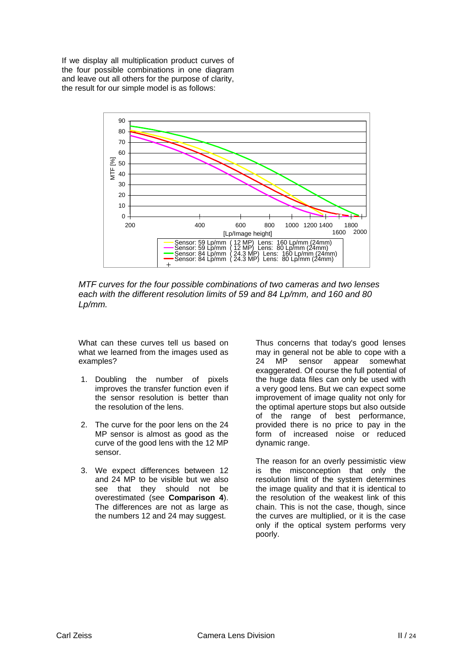If we display all multiplication product curves of the four possible combinations in one diagram and leave out all others for the purpose of clarity, the result for our simple model is as follows:



*MTF curves for the four possible combinations of two cameras and two lenses each with the different resolution limits of 59 and 84 Lp/mm, and 160 and 80 Lp/mm.* 

What can these curves tell us based on what we learned from the images used as examples?

- 1. Doubling the number of pixels improves the transfer function even if the sensor resolution is better than the resolution of the lens.
- 2. The curve for the poor lens on the 24 MP sensor is almost as good as the curve of the good lens with the 12 MP sensor.
- 3. We expect differences between 12 and 24 MP to be visible but we also see that they should not be overestimated (see **Comparison 4**). The differences are not as large as the numbers 12 and 24 may suggest.

Thus concerns that today's good lenses may in general not be able to cope with a 24 MP sensor appear somewhat exaggerated. Of course the full potential of the huge data files can only be used with a very good lens. But we can expect some improvement of image quality not only for the optimal aperture stops but also outside of the range of best performance, provided there is no price to pay in the form of increased noise or reduced dynamic range.

The reason for an overly pessimistic view is the misconception that only the resolution limit of the system determines the image quality and that it is identical to the resolution of the weakest link of this chain. This is not the case, though, since the curves are multiplied, or it is the case only if the optical system performs very poorly.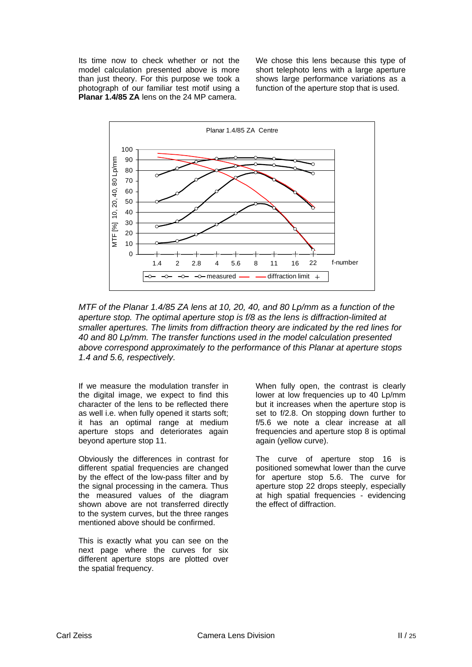Its time now to check whether or not the model calculation presented above is more than just theory. For this purpose we took a photograph of our familiar test motif using a **Planar 1.4/85 ZA** lens on the 24 MP camera.

We chose this lens because this type of short telephoto lens with a large aperture shows large performance variations as a function of the aperture stop that is used.



*MTF of the Planar 1.4/85 ZA lens at 10, 20, 40, and 80 Lp/mm as a function of the aperture stop. The optimal aperture stop is f/8 as the lens is diffraction-limited at smaller apertures. The limits from diffraction theory are indicated by the red lines for 40 and 80 Lp/mm. The transfer functions used in the model calculation presented above correspond approximately to the performance of this Planar at aperture stops 1.4 and 5.6, respectively.* 

If we measure the modulation transfer in the digital image, we expect to find this character of the lens to be reflected there as well i.e. when fully opened it starts soft; it has an optimal range at medium aperture stops and deteriorates again beyond aperture stop 11.

Obviously the differences in contrast for different spatial frequencies are changed by the effect of the low-pass filter and by the signal processing in the camera. Thus the measured values of the diagram shown above are not transferred directly to the system curves, but the three ranges mentioned above should be confirmed.

This is exactly what you can see on the next page where the curves for six different aperture stops are plotted over the spatial frequency.

When fully open, the contrast is clearly lower at low frequencies up to 40 Lp/mm but it increases when the aperture stop is set to f/2.8. On stopping down further to f/5.6 we note a clear increase at all frequencies and aperture stop 8 is optimal again (yellow curve).

The curve of aperture stop 16 is positioned somewhat lower than the curve for aperture stop 5.6. The curve for aperture stop 22 drops steeply, especially at high spatial frequencies - evidencing the effect of diffraction.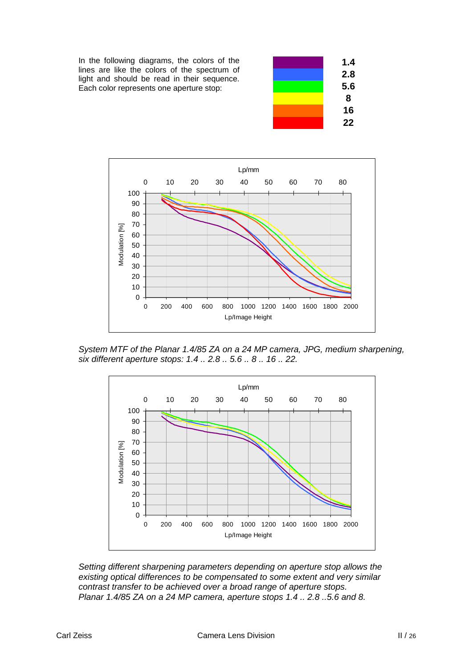In the following diagrams, the colors of the lines are like the colors of the spectrum of light and should be read in their sequence. Each color represents one aperture stop:





*System MTF of the Planar 1.4/85 ZA on a 24 MP camera, JPG, medium sharpening, six different aperture stops: 1.4 .. 2.8 .. 5.6 .. 8 .. 16 .. 22.* 



*Setting different sharpening parameters depending on aperture stop allows the existing optical differences to be compensated to some extent and very similar contrast transfer to be achieved over a broad range of aperture stops. Planar 1.4/85 ZA on a 24 MP camera, aperture stops 1.4 .. 2.8 ..5.6 and 8.*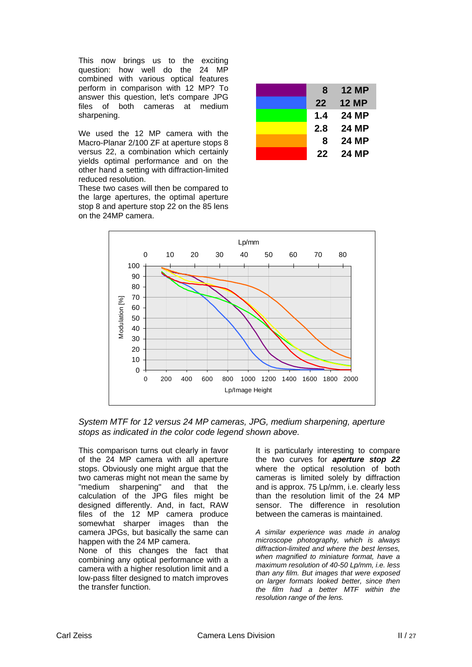This now brings us to the exciting question: how well do the 24 MP combined with various optical features perform in comparison with 12 MP? To answer this question, let's compare JPG files of both cameras at medium sharpening.

We used the 12 MP camera with the Macro-Planar 2/100 ZF at aperture stops 8 versus 22, a combination which certainly yields optimal performance and on the other hand a setting with diffraction-limited reduced resolution.

These two cases will then be compared to the large apertures, the optimal aperture stop 8 and aperture stop 22 on the 85 lens on the 24MP camera.

| 8   | 12 MP        |
|-----|--------------|
| 22  | <b>12 MP</b> |
| 1.4 | 24 MP        |
| 2.8 | 24 MP        |
| 8   | 24 MP        |
| 22  | 24 MP        |



*System MTF for 12 versus 24 MP cameras, JPG, medium sharpening, aperture stops as indicated in the color code legend shown above.* 

This comparison turns out clearly in favor of the 24 MP camera with all aperture stops. Obviously one might argue that the two cameras might not mean the same by "medium sharpening" and that the calculation of the JPG files might be designed differently. And, in fact, RAW files of the 12 MP camera produce somewhat sharper images than the camera JPGs, but basically the same can happen with the 24 MP camera.

None of this changes the fact that combining any optical performance with a camera with a higher resolution limit and a low-pass filter designed to match improves the transfer function.

It is particularly interesting to compare the two curves for *aperture stop 22* where the optical resolution of both cameras is limited solely by diffraction and is approx. 75 Lp/mm, i.e. clearly less than the resolution limit of the 24 MP sensor. The difference in resolution between the cameras is maintained.

*A similar experience was made in analog microscope photography, which is always diffraction-limited and where the best lenses, when magnified to miniature format, have a maximum resolution of 40-50 Lp/mm, i.e. less than any film. But images that were exposed on larger formats looked better, since then the film had a better MTF within the resolution range of the lens.*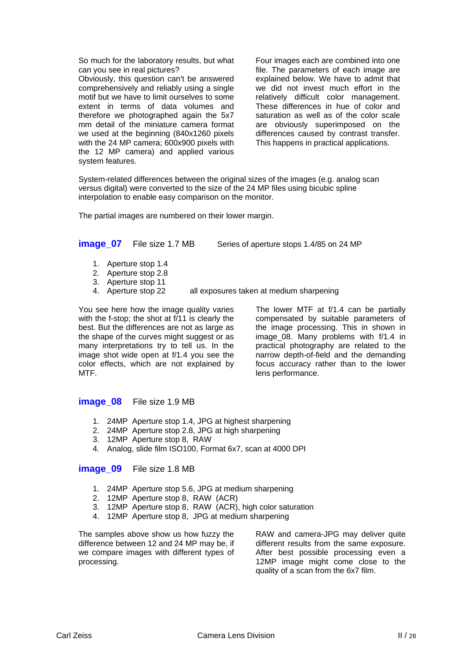So much for the laboratory results, but what can you see in real pictures?

Obviously, this question can't be answered comprehensively and reliably using a single motif but we have to limit ourselves to some extent in terms of data volumes and therefore we photographed again the 5x7 mm detail of the miniature camera format we used at the beginning (840x1260 pixels with the 24 MP camera; 600x900 pixels with the 12 MP camera) and applied various system features.

Four images each are combined into one file. The parameters of each image are explained below. We have to admit that we did not invest much effort in the relatively difficult color management. These differences in hue of color and saturation as well as of the color scale are obviously superimposed on the differences caused by contrast transfer. This happens in practical applications.

System-related differences between the original sizes of the images (e.g. analog scan versus digital) were converted to the size of the 24 MP files using bicubic spline interpolation to enable easy comparison on the monitor.

The partial images are numbered on their lower margin.

#### **image 07** File size 1.7 MB Series of aperture stops 1.4/85 on 24 MP

- 1. Aperture stop 1.4
- 2. Aperture stop 2.8
- 3. Aperture stop 11
- 4. Aperture stop 22 all exposures taken at medium sharpening

You see here how the image quality varies with the f-stop; the shot at f/11 is clearly the best. But the differences are not as large as the shape of the curves might suggest or as many interpretations try to tell us. In the image shot wide open at f/1.4 you see the color effects, which are not explained by MTF.

The lower MTF at f/1.4 can be partially compensated by suitable parameters of the image processing. This in shown in image 08. Many problems with f/1.4 in practical photography are related to the narrow depth-of-field and the demanding focus accuracy rather than to the lower lens performance.

#### **image 08** File size 1.9 MB

- 1. 24MP Aperture stop 1.4, JPG at highest sharpening
- 2. 24MP Aperture stop 2.8, JPG at high sharpening
- 3. 12MP Aperture stop 8, RAW
- 4. Analog, slide film ISO100, Format 6x7, scan at 4000 DPI

#### **image\_09** File size 1.8 MB

- 1. 24MP Aperture stop 5.6, JPG at medium sharpening
- 2. 12MP Aperture stop 8, RAW (ACR)
- 3. 12MP Aperture stop 8, RAW (ACR), high color saturation
- 4. 12MP Aperture stop 8, JPG at medium sharpening

The samples above show us how fuzzy the difference between 12 and 24 MP may be, if we compare images with different types of processing.

RAW and camera-JPG may deliver quite different results from the same exposure. After best possible processing even a 12MP image might come close to the quality of a scan from the 6x7 film.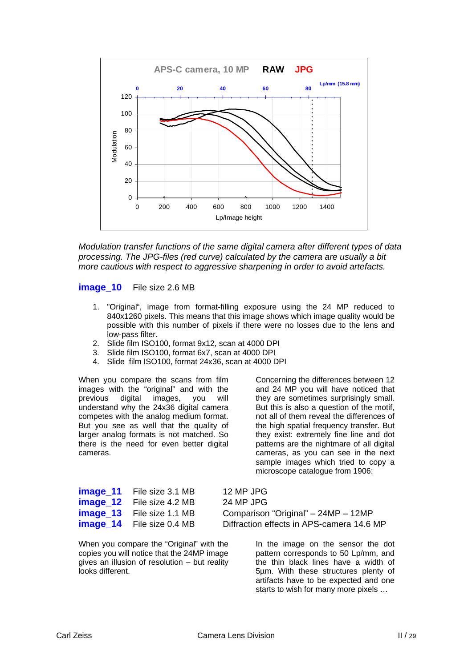

*Modulation transfer functions of the same digital camera after different types of data processing. The JPG-files (red curve) calculated by the camera are usually a bit more cautious with respect to aggressive sharpening in order to avoid artefacts.* 

**image\_10** File size 2.6 MB

- 1. "Original", image from format-filling exposure using the 24 MP reduced to 840x1260 pixels. This means that this image shows which image quality would be possible with this number of pixels if there were no losses due to the lens and low-pass filter.
- 2. Slide film ISO100, format 9x12, scan at 4000 DPI
- 3. Slide film ISO100, format 6x7, scan at 4000 DPI
- 4. Slide film ISO100, format 24x36, scan at 4000 DPI

When you compare the scans from film images with the "original" and with the previous digital images, you will understand why the 24x36 digital camera competes with the analog medium format. But you see as well that the quality of larger analog formats is not matched. So there is the need for even better digital cameras.

Concerning the differences between 12 and 24 MP you will have noticed that they are sometimes surprisingly small. But this is also a question of the motif, not all of them reveal the differences of the high spatial frequency transfer. But they exist: extremely fine line and dot patterns are the nightmare of all digital cameras, as you can see in the next sample images which tried to copy a microscope catalogue from 1906:

| <b>image_11</b> File size 3.1 MB | 12 MP JPG                                 |
|----------------------------------|-------------------------------------------|
| <b>image_12</b> File size 4.2 MB | 24 MP JPG                                 |
| <b>image_13</b> File size 1.1 MB | Comparison "Original" - 24MP - 12MP       |
| <b>image_14</b> File size 0.4 MB | Diffraction effects in APS-camera 14.6 MP |

When you compare the "Original" with the copies you will notice that the 24MP image gives an illusion of resolution – but reality looks different.

In the image on the sensor the dot pattern corresponds to 50 Lp/mm, and the thin black lines have a width of 5µm. With these structures plenty of artifacts have to be expected and one

starts to wish for many more pixels …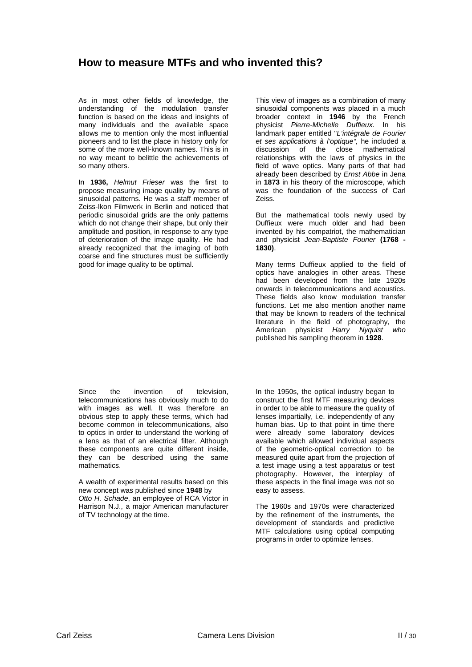# **How to measure MTFs and who invented this?**

As in most other fields of knowledge, the understanding of the modulation transfer function is based on the ideas and insights of many individuals and the available space allows me to mention only the most influential pioneers and to list the place in history only for some of the more well-known names. This is in no way meant to belittle the achievements of so many others.

In **1936,** *Helmut Frieser* was the first to propose measuring image quality by means of sinusoidal patterns. He was a staff member of Zeiss-Ikon Filmwerk in Berlin and noticed that periodic sinusoidal grids are the only patterns which do not change their shape, but only their amplitude and position, in response to any type of deterioration of the image quality. He had already recognized that the imaging of both coarse and fine structures must be sufficiently good for image quality to be optimal.

Since the invention of television, telecommunications has obviously much to do with images as well. It was therefore an obvious step to apply these terms, which had become common in telecommunications, also to optics in order to understand the working of a lens as that of an electrical filter. Although these components are quite different inside, they can be described using the same mathematics.

A wealth of experimental results based on this new concept was published since **1948** by *Otto H. Schade*, an employee of RCA Victor in Harrison N.J., a major American manufacturer of TV technology at the time.

This view of images as a combination of many sinusoidal components was placed in a much broader context in **1946** by the French physicist *Pierre-Michelle Duffieux*. In his landmark paper entitled "*L'intégrale de Fourier et ses applications à l'optique",* he included a discussion of the close mathematical relationships with the laws of physics in the field of wave optics. Many parts of that had already been described by *Ernst Abbe* in Jena in **1873** in his theory of the microscope, which was the foundation of the success of Carl Zeiss.

But the mathematical tools newly used by Duffieux were much older and had been invented by his compatriot, the mathematician and physicist *Jean-Baptiste Fourier* **(1768 - 1830)**.

Many terms Duffieux applied to the field of optics have analogies in other areas. These had been developed from the late 1920s onwards in telecommunications and acoustics. These fields also know modulation transfer functions. Let me also mention another name that may be known to readers of the technical literature in the field of photography, the American physicist *Harry Nyquist who*  published his sampling theorem in **1928**.

In the 1950s, the optical industry began to construct the first MTF measuring devices in order to be able to measure the quality of lenses impartially, i.e. independently of any human bias. Up to that point in time there were already some laboratory devices available which allowed individual aspects of the geometric-optical correction to be measured quite apart from the projection of a test image using a test apparatus or test photography. However, the interplay of these aspects in the final image was not so easy to assess.

The 1960s and 1970s were characterized by the refinement of the instruments, the development of standards and predictive MTF calculations using optical computing programs in order to optimize lenses.